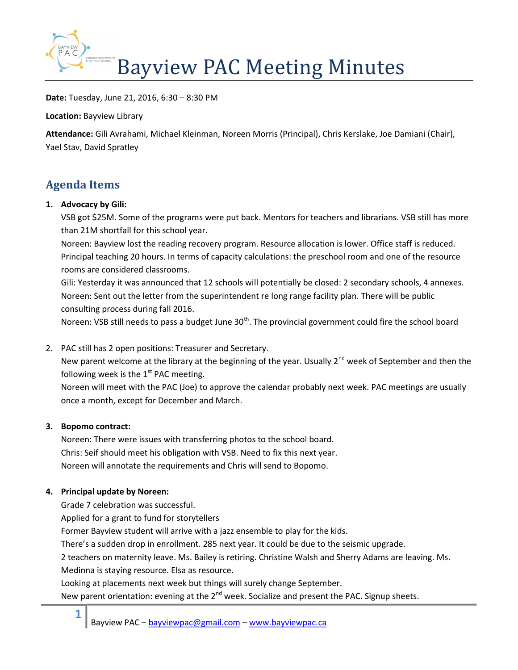

Date: Tuesday, June 21, 2016, 6:30 – 8:30 PM

Location: Bayview Library

Attendance: Gili Avrahami, Michael Kleinman, Noreen Morris (Principal), Chris Kerslake, Joe Damiani (Chair), Yael Stav, David Spratley

## Agenda Items

## 1. Advocacy by Gili:

VSB got \$25M. Some of the programs were put back. Mentors for teachers and librarians. VSB still has more than 21M shortfall for this school year.

Noreen: Bayview lost the reading recovery program. Resource allocation is lower. Office staff is reduced. Principal teaching 20 hours. In terms of capacity calculations: the preschool room and one of the resource rooms are considered classrooms.

Gili: Yesterday it was announced that 12 schools will potentially be closed: 2 secondary schools, 4 annexes. Noreen: Sent out the letter from the superintendent re long range facility plan. There will be public consulting process during fall 2016.

Noreen: VSB still needs to pass a budget June  $30<sup>th</sup>$ . The provincial government could fire the school board

2. PAC still has 2 open positions: Treasurer and Secretary.

New parent welcome at the library at the beginning of the year. Usually  $2^{nd}$  week of September and then the following week is the  $1<sup>st</sup>$  PAC meeting.

Noreen will meet with the PAC (Joe) to approve the calendar probably next week. PAC meetings are usually once a month, except for December and March.

## 3. Bopomo contract:

1

Noreen: There were issues with transferring photos to the school board. Chris: Seif should meet his obligation with VSB. Need to fix this next year. Noreen will annotate the requirements and Chris will send to Bopomo.

## 4. Principal update by Noreen:

Grade 7 celebration was successful.

Applied for a grant to fund for storytellers

Former Bayview student will arrive with a jazz ensemble to play for the kids.

There's a sudden drop in enrollment. 285 next year. It could be due to the seismic upgrade.

2 teachers on maternity leave. Ms. Bailey is retiring. Christine Walsh and Sherry Adams are leaving. Ms. Medinna is staying resource. Elsa as resource.

Looking at placements next week but things will surely change September.

New parent orientation: evening at the  $2^{nd}$  week. Socialize and present the PAC. Signup sheets.